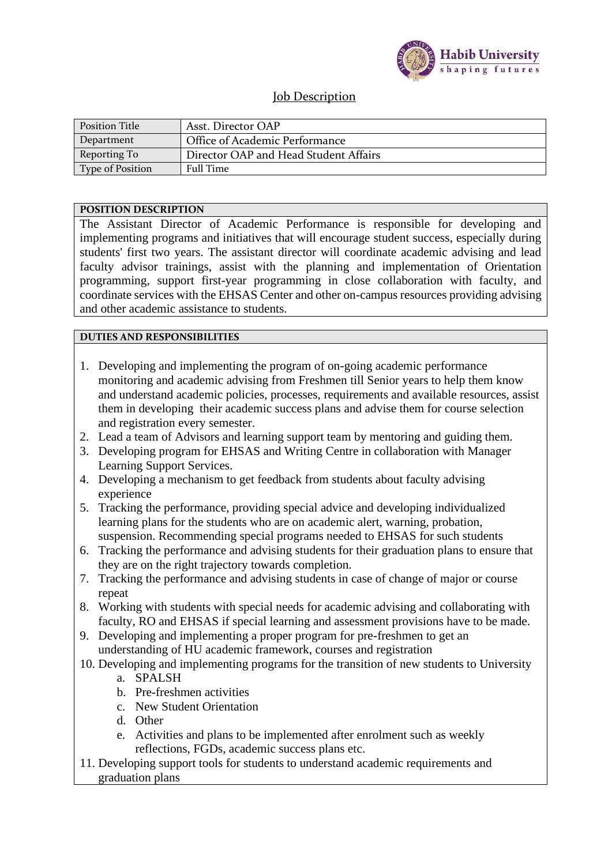

### Job Description

| <b>Position Title</b> | Asst. Director OAP                    |
|-----------------------|---------------------------------------|
| Department            | Office of Academic Performance        |
| Reporting To          | Director OAP and Head Student Affairs |
| Type of Position      | <b>Full Time</b>                      |

#### **POSITION DESCRIPTION**

The Assistant Director of Academic Performance is responsible for developing and implementing programs and initiatives that will encourage student success, especially during students' first two years. The assistant director will coordinate academic advising and lead faculty advisor trainings, assist with the planning and implementation of Orientation programming, support first-year programming in close collaboration with faculty, and coordinate services with the EHSAS Center and other on-campus resources providing advising and other academic assistance to students.

#### **DUTIES AND RESPONSIBILITIES**

- 1. Developing and implementing the program of on-going academic performance monitoring and academic advising from Freshmen till Senior years to help them know and understand academic policies, processes, requirements and available resources, assist them in developing their academic success plans and advise them for course selection and registration every semester.
- 2. Lead a team of Advisors and learning support team by mentoring and guiding them.
- 3. Developing program for EHSAS and Writing Centre in collaboration with Manager Learning Support Services.
- 4. Developing a mechanism to get feedback from students about faculty advising experience
- 5. Tracking the performance, providing special advice and developing individualized learning plans for the students who are on academic alert, warning, probation, suspension. Recommending special programs needed to EHSAS for such students
- 6. Tracking the performance and advising students for their graduation plans to ensure that they are on the right trajectory towards completion.
- 7. Tracking the performance and advising students in case of change of major or course repeat
- 8. Working with students with special needs for academic advising and collaborating with faculty, RO and EHSAS if special learning and assessment provisions have to be made.
- 9. Developing and implementing a proper program for pre-freshmen to get an understanding of HU academic framework, courses and registration
- 10. Developing and implementing programs for the transition of new students to University
	- a. SPALSH
	- b. Pre-freshmen activities
	- c. New Student Orientation
	- d. Other
	- e. Activities and plans to be implemented after enrolment such as weekly reflections, FGDs, academic success plans etc.
- 11. Developing support tools for students to understand academic requirements and graduation plans